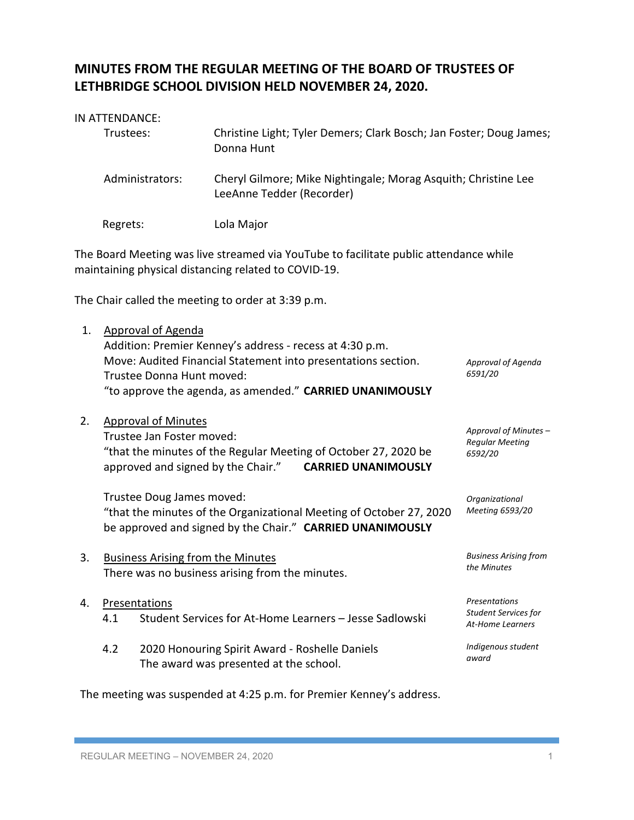## **MINUTES FROM THE REGULAR MEETING OF THE BOARD OF TRUSTEES OF LETHBRIDGE SCHOOL DIVISION HELD NOVEMBER 24, 2020.**

|    | IN ATTENDANCE:                                                                                                 |                                                                                                                                                                                       |                                                                  |  |  |
|----|----------------------------------------------------------------------------------------------------------------|---------------------------------------------------------------------------------------------------------------------------------------------------------------------------------------|------------------------------------------------------------------|--|--|
|    | Christine Light; Tyler Demers; Clark Bosch; Jan Foster; Doug James;<br>Trustees:<br>Donna Hunt                 |                                                                                                                                                                                       |                                                                  |  |  |
|    | Administrators:<br>Cheryl Gilmore; Mike Nightingale; Morag Asquith; Christine Lee<br>LeeAnne Tedder (Recorder) |                                                                                                                                                                                       |                                                                  |  |  |
|    | Regrets:                                                                                                       | Lola Major                                                                                                                                                                            |                                                                  |  |  |
|    |                                                                                                                | The Board Meeting was live streamed via YouTube to facilitate public attendance while<br>maintaining physical distancing related to COVID-19.                                         |                                                                  |  |  |
|    |                                                                                                                | The Chair called the meeting to order at 3:39 p.m.                                                                                                                                    |                                                                  |  |  |
| 1. | <b>Approval of Agenda</b><br>Trustee Donna Hunt moved:                                                         | Addition: Premier Kenney's address - recess at 4:30 p.m.<br>Move: Audited Financial Statement into presentations section.<br>"to approve the agenda, as amended." CARRIED UNANIMOUSLY | Approval of Agenda<br>6591/20                                    |  |  |
| 2. | <b>Approval of Minutes</b><br>Trustee Jan Foster moved:<br>approved and signed by the Chair."                  | "that the minutes of the Regular Meeting of October 27, 2020 be<br><b>CARRIED UNANIMOUSLY</b>                                                                                         | Approval of Minutes -<br><b>Regular Meeting</b><br>6592/20       |  |  |
|    | Trustee Doug James moved:                                                                                      | "that the minutes of the Organizational Meeting of October 27, 2020<br>be approved and signed by the Chair." CARRIED UNANIMOUSLY                                                      | Organizational<br>Meeting 6593/20                                |  |  |
| 3. | <b>Business Arising from the Minutes</b><br>There was no business arising from the minutes.                    |                                                                                                                                                                                       | <b>Business Arising from</b><br>the Minutes                      |  |  |
| 4. | Presentations<br>4.1                                                                                           | Student Services for At-Home Learners - Jesse Sadlowski                                                                                                                               | Presentations<br><b>Student Services for</b><br>At-Home Learners |  |  |
|    | 4.2                                                                                                            | 2020 Honouring Spirit Award - Roshelle Daniels<br>The award was presented at the school.                                                                                              | Indigenous student<br>award                                      |  |  |
|    |                                                                                                                | The meeting was suspended at 4:25 p.m. for Premier Kenney's address.                                                                                                                  |                                                                  |  |  |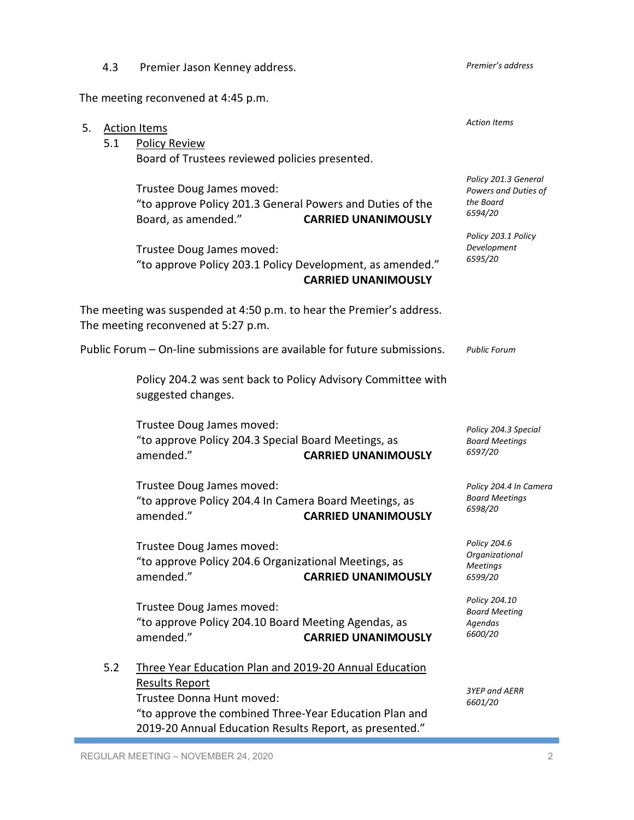REGULAR MEETING – NOVEMBER 24, 2020 2 2019-20 Annual Education Results Report, as presented."

Trustee Donna Hunt moved:

"to approve the combined Three-Year Education Plan and

5. Action Items 5.1 Policy Review Board of Trustees reviewed policies presented. Trustee Doug James moved: "to approve Policy 201.3 General Powers and Duties of the Board, as amended." **CARRIED UNANIMOUSLY** Trustee Doug James moved: "to approve Policy 203.1 Policy Development, as amended." **CARRIED UNANIMOUSLY** The meeting was suspended at 4:50 p.m. to hear the Premier's address. The meeting reconvened at 5:27 p.m. Public Forum – On-line submissions are available for future submissions. Policy 204.2 was sent back to Policy Advisory Committee with suggested changes. Trustee Doug James moved: "to approve Policy 204.3 Special Board Meetings, as amended." **CARRIED UNANIMOUSLY** Trustee Doug James moved: "to approve Policy 204.4 In Camera Board Meetings, as amended." **CARRIED UNANIMOUSLY** Trustee Doug James moved: "to approve Policy 204.6 Organizational Meetings, as amended." **CARRIED UNANIMOUSLY** Trustee Doug James moved: "to approve Policy 204.10 Board Meeting Agendas, as amended." **CARRIED UNANIMOUSLY** 5.2 Three Year Education Plan and 2019-20 Annual Education Results Report *Action Items Policy 201.3 General Powers and Duties of the Board 6594/20 Policy 203.1 Policy Development 6595/20 Public Forum Policy 204.3 Special Board Meetings 6597/20 Policy 204.4 In Camera Board Meetings 6598/20 Policy 204.6 Organizational Meetings 6599/20 Policy 204.10 Board Meeting Agendas 6600/20 3YEP and AERR*

The meeting reconvened at 4:45 p.m.

4.3 Premier Jason Kenney address.

*Premier's address*

*6601/20*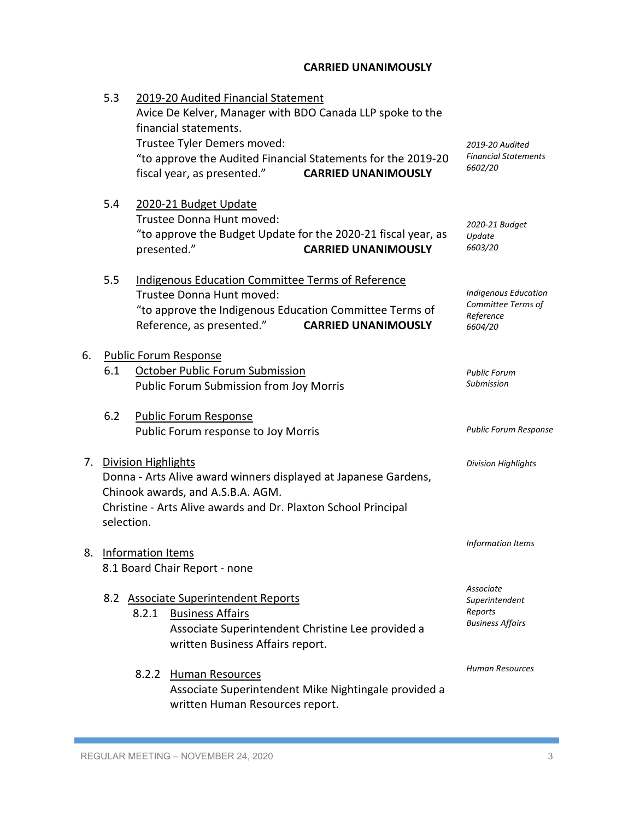## **CARRIED UNANIMOUSLY**

|    | 5.3        |                          | 2019-20 Audited Financial Statement<br>financial statements.<br>Trustee Tyler Demers moved:<br>fiscal year, as presented."                               | Avice De Kelver, Manager with BDO Canada LLP spoke to the<br>"to approve the Audited Financial Statements for the 2019-20<br><b>CARRIED UNANIMOUSLY</b> | 2019-20 Audited<br><b>Financial Statements</b><br>6602/20                 |
|----|------------|--------------------------|----------------------------------------------------------------------------------------------------------------------------------------------------------|---------------------------------------------------------------------------------------------------------------------------------------------------------|---------------------------------------------------------------------------|
|    | 5.4        | presented."              | 2020-21 Budget Update<br>Trustee Donna Hunt moved:                                                                                                       | "to approve the Budget Update for the 2020-21 fiscal year, as<br><b>CARRIED UNANIMOUSLY</b>                                                             | 2020-21 Budget<br>Update<br>6603/20                                       |
|    | 5.5        |                          | <b>Indigenous Education Committee Terms of Reference</b><br>Trustee Donna Hunt moved:<br>Reference, as presented."                                       | "to approve the Indigenous Education Committee Terms of<br><b>CARRIED UNANIMOUSLY</b>                                                                   | <b>Indigenous Education</b><br>Committee Terms of<br>Reference<br>6604/20 |
| 6. | 6.1        |                          | <b>Public Forum Response</b><br>October Public Forum Submission<br>Public Forum Submission from Joy Morris                                               |                                                                                                                                                         | <b>Public Forum</b><br>Submission                                         |
|    | 6.2        |                          | <b>Public Forum Response</b><br>Public Forum response to Joy Morris                                                                                      |                                                                                                                                                         | <b>Public Forum Response</b>                                              |
|    | selection. | 7. Division Highlights   | Chinook awards, and A.S.B.A. AGM.<br>Christine - Arts Alive awards and Dr. Plaxton School Principal                                                      | Donna - Arts Alive award winners displayed at Japanese Gardens,                                                                                         | <b>Division Highlights</b>                                                |
| 8. |            | <b>Information Items</b> | 8.1 Board Chair Report - none                                                                                                                            |                                                                                                                                                         | Information Items                                                         |
|    |            | 8.2.1                    | 8.2 Associate Superintendent Reports<br><b>Business Affairs</b><br>Associate Superintendent Christine Lee provided a<br>written Business Affairs report. |                                                                                                                                                         | Associate<br>Superintendent<br>Reports<br><b>Business Affairs</b>         |
|    |            | 8.2.2                    | <b>Human Resources</b><br>written Human Resources report.                                                                                                | Associate Superintendent Mike Nightingale provided a                                                                                                    | Human Resources                                                           |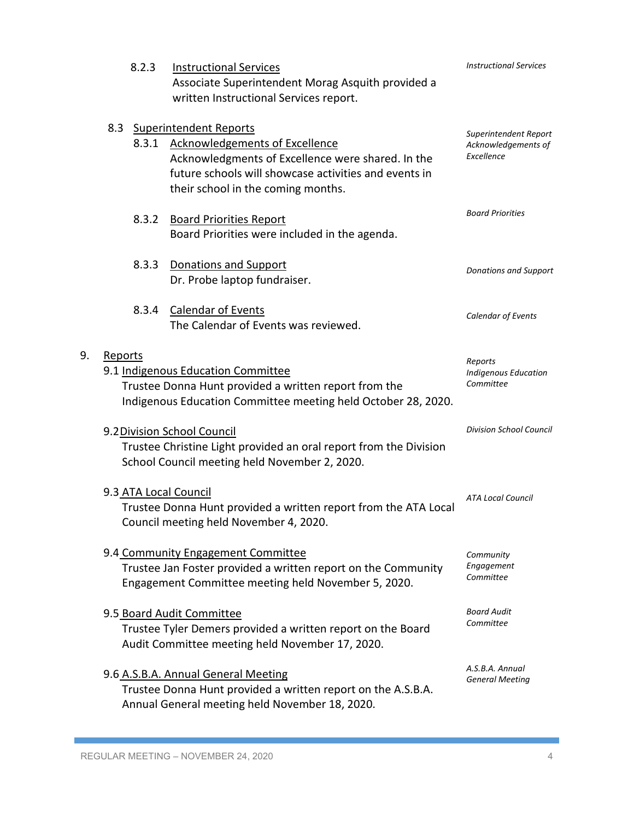|    |                                                                                                                                                                         | 8.2.3<br><b>Instructional Services</b><br>Associate Superintendent Morag Asquith provided a<br>written Instructional Services report.                                                                                   |                                                            |
|----|-------------------------------------------------------------------------------------------------------------------------------------------------------------------------|-------------------------------------------------------------------------------------------------------------------------------------------------------------------------------------------------------------------------|------------------------------------------------------------|
|    | 8.3.1                                                                                                                                                                   | 8.3 Superintendent Reports<br><b>Acknowledgements of Excellence</b><br>Acknowledgments of Excellence were shared. In the<br>future schools will showcase activities and events in<br>their school in the coming months. | Superintendent Report<br>Acknowledgements of<br>Excellence |
|    | 8.3.2                                                                                                                                                                   | <b>Board Priorities Report</b><br>Board Priorities were included in the agenda.                                                                                                                                         | <b>Board Priorities</b>                                    |
|    | 8.3.3                                                                                                                                                                   | Donations and Support<br>Dr. Probe laptop fundraiser.                                                                                                                                                                   | <b>Donations and Support</b>                               |
|    | 8.3.4                                                                                                                                                                   | <b>Calendar of Events</b><br>The Calendar of Events was reviewed.                                                                                                                                                       | Calendar of Events                                         |
| 9. | Reports<br>9.1 Indigenous Education Committee<br>Trustee Donna Hunt provided a written report from the<br>Indigenous Education Committee meeting held October 28, 2020. | Reports<br><b>Indigenous Education</b><br>Committee                                                                                                                                                                     |                                                            |
|    | 9.2 Division School Council<br>Trustee Christine Light provided an oral report from the Division<br>School Council meeting held November 2, 2020.                       |                                                                                                                                                                                                                         | <b>Division School Council</b>                             |
|    | 9.3 ATA Local Council<br>Trustee Donna Hunt provided a written report from the ATA Local<br>Council meeting held November 4, 2020.                                      | <b>ATA Local Council</b>                                                                                                                                                                                                |                                                            |
|    |                                                                                                                                                                         | 9.4 Community Engagement Committee<br>Trustee Jan Foster provided a written report on the Community<br>Engagement Committee meeting held November 5, 2020.                                                              | Community<br>Engagement<br>Committee                       |
|    |                                                                                                                                                                         | 9.5 Board Audit Committee<br>Trustee Tyler Demers provided a written report on the Board<br>Audit Committee meeting held November 17, 2020.                                                                             |                                                            |
|    |                                                                                                                                                                         | 9.6 A.S.B.A. Annual General Meeting<br>Trustee Donna Hunt provided a written report on the A.S.B.A.<br>Annual General meeting held November 18, 2020.                                                                   | A.S.B.A. Annual<br><b>General Meeting</b>                  |